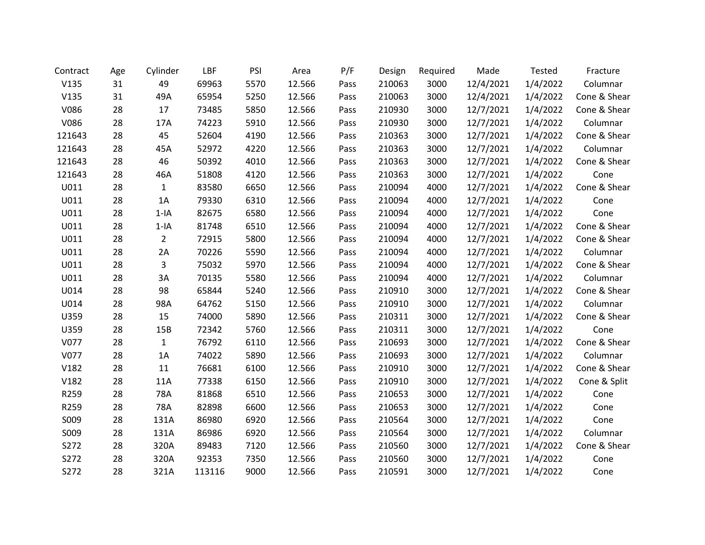| Contract | Age | Cylinder       | LBF    | PSI  | Area   | P/F  | Design | Required | Made      | <b>Tested</b> | Fracture     |
|----------|-----|----------------|--------|------|--------|------|--------|----------|-----------|---------------|--------------|
| V135     | 31  | 49             | 69963  | 5570 | 12.566 | Pass | 210063 | 3000     | 12/4/2021 | 1/4/2022      | Columnar     |
| V135     | 31  | 49A            | 65954  | 5250 | 12.566 | Pass | 210063 | 3000     | 12/4/2021 | 1/4/2022      | Cone & Shear |
| V086     | 28  | 17             | 73485  | 5850 | 12.566 | Pass | 210930 | 3000     | 12/7/2021 | 1/4/2022      | Cone & Shear |
| V086     | 28  | 17A            | 74223  | 5910 | 12.566 | Pass | 210930 | 3000     | 12/7/2021 | 1/4/2022      | Columnar     |
| 121643   | 28  | 45             | 52604  | 4190 | 12.566 | Pass | 210363 | 3000     | 12/7/2021 | 1/4/2022      | Cone & Shear |
| 121643   | 28  | 45A            | 52972  | 4220 | 12.566 | Pass | 210363 | 3000     | 12/7/2021 | 1/4/2022      | Columnar     |
| 121643   | 28  | 46             | 50392  | 4010 | 12.566 | Pass | 210363 | 3000     | 12/7/2021 | 1/4/2022      | Cone & Shear |
| 121643   | 28  | 46A            | 51808  | 4120 | 12.566 | Pass | 210363 | 3000     | 12/7/2021 | 1/4/2022      | Cone         |
| U011     | 28  | $\mathbf{1}$   | 83580  | 6650 | 12.566 | Pass | 210094 | 4000     | 12/7/2021 | 1/4/2022      | Cone & Shear |
| U011     | 28  | 1A             | 79330  | 6310 | 12.566 | Pass | 210094 | 4000     | 12/7/2021 | 1/4/2022      | Cone         |
| U011     | 28  | $1-IA$         | 82675  | 6580 | 12.566 | Pass | 210094 | 4000     | 12/7/2021 | 1/4/2022      | Cone         |
| U011     | 28  | $1-IA$         | 81748  | 6510 | 12.566 | Pass | 210094 | 4000     | 12/7/2021 | 1/4/2022      | Cone & Shear |
| U011     | 28  | $\overline{2}$ | 72915  | 5800 | 12.566 | Pass | 210094 | 4000     | 12/7/2021 | 1/4/2022      | Cone & Shear |
| U011     | 28  | 2A             | 70226  | 5590 | 12.566 | Pass | 210094 | 4000     | 12/7/2021 | 1/4/2022      | Columnar     |
| U011     | 28  | 3              | 75032  | 5970 | 12.566 | Pass | 210094 | 4000     | 12/7/2021 | 1/4/2022      | Cone & Shear |
| U011     | 28  | 3A             | 70135  | 5580 | 12.566 | Pass | 210094 | 4000     | 12/7/2021 | 1/4/2022      | Columnar     |
| U014     | 28  | 98             | 65844  | 5240 | 12.566 | Pass | 210910 | 3000     | 12/7/2021 | 1/4/2022      | Cone & Shear |
| U014     | 28  | 98A            | 64762  | 5150 | 12.566 | Pass | 210910 | 3000     | 12/7/2021 | 1/4/2022      | Columnar     |
| U359     | 28  | 15             | 74000  | 5890 | 12.566 | Pass | 210311 | 3000     | 12/7/2021 | 1/4/2022      | Cone & Shear |
| U359     | 28  | 15B            | 72342  | 5760 | 12.566 | Pass | 210311 | 3000     | 12/7/2021 | 1/4/2022      | Cone         |
| V077     | 28  | $\mathbf{1}$   | 76792  | 6110 | 12.566 | Pass | 210693 | 3000     | 12/7/2021 | 1/4/2022      | Cone & Shear |
| V077     | 28  | 1A             | 74022  | 5890 | 12.566 | Pass | 210693 | 3000     | 12/7/2021 | 1/4/2022      | Columnar     |
| V182     | 28  | 11             | 76681  | 6100 | 12.566 | Pass | 210910 | 3000     | 12/7/2021 | 1/4/2022      | Cone & Shear |
| V182     | 28  | 11A            | 77338  | 6150 | 12.566 | Pass | 210910 | 3000     | 12/7/2021 | 1/4/2022      | Cone & Split |
| R259     | 28  | 78A            | 81868  | 6510 | 12.566 | Pass | 210653 | 3000     | 12/7/2021 | 1/4/2022      | Cone         |
| R259     | 28  | 78A            | 82898  | 6600 | 12.566 | Pass | 210653 | 3000     | 12/7/2021 | 1/4/2022      | Cone         |
| S009     | 28  | 131A           | 86980  | 6920 | 12.566 | Pass | 210564 | 3000     | 12/7/2021 | 1/4/2022      | Cone         |
| S009     | 28  | 131A           | 86986  | 6920 | 12.566 | Pass | 210564 | 3000     | 12/7/2021 | 1/4/2022      | Columnar     |
| S272     | 28  | 320A           | 89483  | 7120 | 12.566 | Pass | 210560 | 3000     | 12/7/2021 | 1/4/2022      | Cone & Shear |
| S272     | 28  | 320A           | 92353  | 7350 | 12.566 | Pass | 210560 | 3000     | 12/7/2021 | 1/4/2022      | Cone         |
| S272     | 28  | 321A           | 113116 | 9000 | 12.566 | Pass | 210591 | 3000     | 12/7/2021 | 1/4/2022      | Cone         |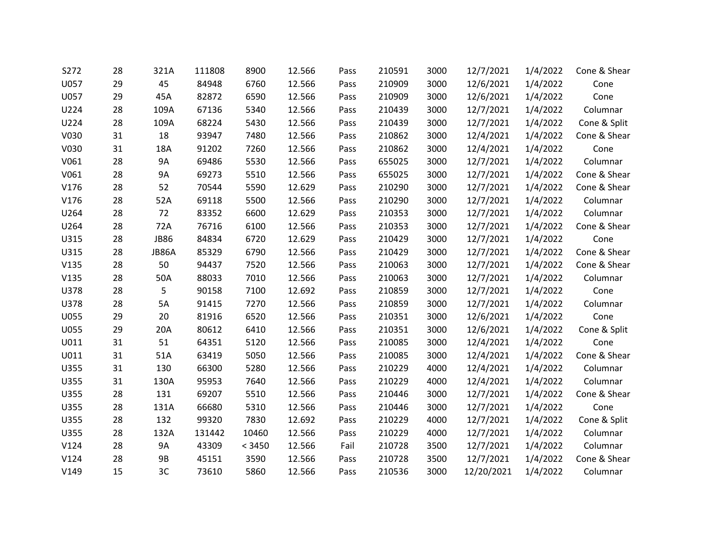| S272 | 28 | 321A        | 111808 | 8900   | 12.566 | Pass | 210591 | 3000 | 12/7/2021  | 1/4/2022 | Cone & Shear |
|------|----|-------------|--------|--------|--------|------|--------|------|------------|----------|--------------|
| U057 | 29 | 45          | 84948  | 6760   | 12.566 | Pass | 210909 | 3000 | 12/6/2021  | 1/4/2022 | Cone         |
| U057 | 29 | 45A         | 82872  | 6590   | 12.566 | Pass | 210909 | 3000 | 12/6/2021  | 1/4/2022 | Cone         |
| U224 | 28 | 109A        | 67136  | 5340   | 12.566 | Pass | 210439 | 3000 | 12/7/2021  | 1/4/2022 | Columnar     |
| U224 | 28 | 109A        | 68224  | 5430   | 12.566 | Pass | 210439 | 3000 | 12/7/2021  | 1/4/2022 | Cone & Split |
| V030 | 31 | 18          | 93947  | 7480   | 12.566 | Pass | 210862 | 3000 | 12/4/2021  | 1/4/2022 | Cone & Shear |
| V030 | 31 | 18A         | 91202  | 7260   | 12.566 | Pass | 210862 | 3000 | 12/4/2021  | 1/4/2022 | Cone         |
| V061 | 28 | 9A          | 69486  | 5530   | 12.566 | Pass | 655025 | 3000 | 12/7/2021  | 1/4/2022 | Columnar     |
| V061 | 28 | <b>9A</b>   | 69273  | 5510   | 12.566 | Pass | 655025 | 3000 | 12/7/2021  | 1/4/2022 | Cone & Shear |
| V176 | 28 | 52          | 70544  | 5590   | 12.629 | Pass | 210290 | 3000 | 12/7/2021  | 1/4/2022 | Cone & Shear |
| V176 | 28 | 52A         | 69118  | 5500   | 12.566 | Pass | 210290 | 3000 | 12/7/2021  | 1/4/2022 | Columnar     |
| U264 | 28 | 72          | 83352  | 6600   | 12.629 | Pass | 210353 | 3000 | 12/7/2021  | 1/4/2022 | Columnar     |
| U264 | 28 | 72A         | 76716  | 6100   | 12.566 | Pass | 210353 | 3000 | 12/7/2021  | 1/4/2022 | Cone & Shear |
| U315 | 28 | <b>JB86</b> | 84834  | 6720   | 12.629 | Pass | 210429 | 3000 | 12/7/2021  | 1/4/2022 | Cone         |
| U315 | 28 | JB86A       | 85329  | 6790   | 12.566 | Pass | 210429 | 3000 | 12/7/2021  | 1/4/2022 | Cone & Shear |
| V135 | 28 | 50          | 94437  | 7520   | 12.566 | Pass | 210063 | 3000 | 12/7/2021  | 1/4/2022 | Cone & Shear |
| V135 | 28 | 50A         | 88033  | 7010   | 12.566 | Pass | 210063 | 3000 | 12/7/2021  | 1/4/2022 | Columnar     |
| U378 | 28 | 5           | 90158  | 7100   | 12.692 | Pass | 210859 | 3000 | 12/7/2021  | 1/4/2022 | Cone         |
| U378 | 28 | 5A          | 91415  | 7270   | 12.566 | Pass | 210859 | 3000 | 12/7/2021  | 1/4/2022 | Columnar     |
| U055 | 29 | 20          | 81916  | 6520   | 12.566 | Pass | 210351 | 3000 | 12/6/2021  | 1/4/2022 | Cone         |
| U055 | 29 | 20A         | 80612  | 6410   | 12.566 | Pass | 210351 | 3000 | 12/6/2021  | 1/4/2022 | Cone & Split |
| U011 | 31 | 51          | 64351  | 5120   | 12.566 | Pass | 210085 | 3000 | 12/4/2021  | 1/4/2022 | Cone         |
| U011 | 31 | 51A         | 63419  | 5050   | 12.566 | Pass | 210085 | 3000 | 12/4/2021  | 1/4/2022 | Cone & Shear |
| U355 | 31 | 130         | 66300  | 5280   | 12.566 | Pass | 210229 | 4000 | 12/4/2021  | 1/4/2022 | Columnar     |
| U355 | 31 | 130A        | 95953  | 7640   | 12.566 | Pass | 210229 | 4000 | 12/4/2021  | 1/4/2022 | Columnar     |
| U355 | 28 | 131         | 69207  | 5510   | 12.566 | Pass | 210446 | 3000 | 12/7/2021  | 1/4/2022 | Cone & Shear |
| U355 | 28 | 131A        | 66680  | 5310   | 12.566 | Pass | 210446 | 3000 | 12/7/2021  | 1/4/2022 | Cone         |
| U355 | 28 | 132         | 99320  | 7830   | 12.692 | Pass | 210229 | 4000 | 12/7/2021  | 1/4/2022 | Cone & Split |
| U355 | 28 | 132A        | 131442 | 10460  | 12.566 | Pass | 210229 | 4000 | 12/7/2021  | 1/4/2022 | Columnar     |
| V124 | 28 | <b>9A</b>   | 43309  | < 3450 | 12.566 | Fail | 210728 | 3500 | 12/7/2021  | 1/4/2022 | Columnar     |
| V124 | 28 | <b>9B</b>   | 45151  | 3590   | 12.566 | Pass | 210728 | 3500 | 12/7/2021  | 1/4/2022 | Cone & Shear |
| V149 | 15 | 3C          | 73610  | 5860   | 12.566 | Pass | 210536 | 3000 | 12/20/2021 | 1/4/2022 | Columnar     |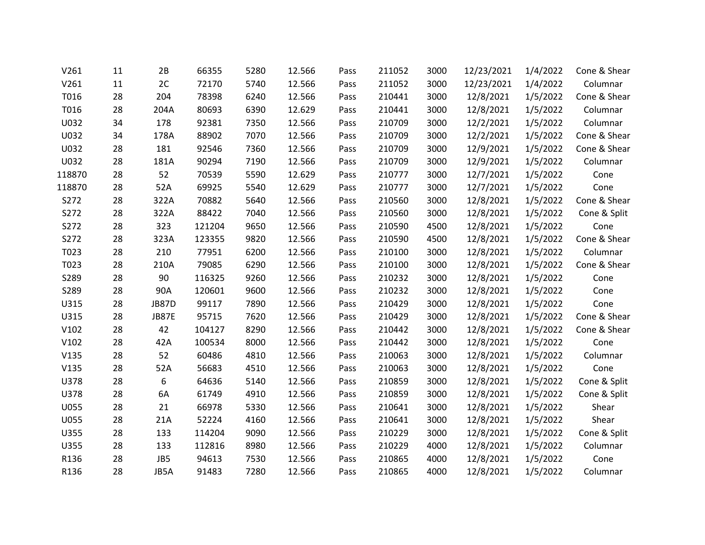| V261   | 11 | 2B    | 66355  | 5280 | 12.566 | Pass | 211052 | 3000 | 12/23/2021 | 1/4/2022 | Cone & Shear |
|--------|----|-------|--------|------|--------|------|--------|------|------------|----------|--------------|
| V261   | 11 | 2C    | 72170  | 5740 | 12.566 | Pass | 211052 | 3000 | 12/23/2021 | 1/4/2022 | Columnar     |
| T016   | 28 | 204   | 78398  | 6240 | 12.566 | Pass | 210441 | 3000 | 12/8/2021  | 1/5/2022 | Cone & Shear |
| T016   | 28 | 204A  | 80693  | 6390 | 12.629 | Pass | 210441 | 3000 | 12/8/2021  | 1/5/2022 | Columnar     |
| U032   | 34 | 178   | 92381  | 7350 | 12.566 | Pass | 210709 | 3000 | 12/2/2021  | 1/5/2022 | Columnar     |
| U032   | 34 | 178A  | 88902  | 7070 | 12.566 | Pass | 210709 | 3000 | 12/2/2021  | 1/5/2022 | Cone & Shear |
| U032   | 28 | 181   | 92546  | 7360 | 12.566 | Pass | 210709 | 3000 | 12/9/2021  | 1/5/2022 | Cone & Shear |
| U032   | 28 | 181A  | 90294  | 7190 | 12.566 | Pass | 210709 | 3000 | 12/9/2021  | 1/5/2022 | Columnar     |
| 118870 | 28 | 52    | 70539  | 5590 | 12.629 | Pass | 210777 | 3000 | 12/7/2021  | 1/5/2022 | Cone         |
| 118870 | 28 | 52A   | 69925  | 5540 | 12.629 | Pass | 210777 | 3000 | 12/7/2021  | 1/5/2022 | Cone         |
| S272   | 28 | 322A  | 70882  | 5640 | 12.566 | Pass | 210560 | 3000 | 12/8/2021  | 1/5/2022 | Cone & Shear |
| S272   | 28 | 322A  | 88422  | 7040 | 12.566 | Pass | 210560 | 3000 | 12/8/2021  | 1/5/2022 | Cone & Split |
| S272   | 28 | 323   | 121204 | 9650 | 12.566 | Pass | 210590 | 4500 | 12/8/2021  | 1/5/2022 | Cone         |
| S272   | 28 | 323A  | 123355 | 9820 | 12.566 | Pass | 210590 | 4500 | 12/8/2021  | 1/5/2022 | Cone & Shear |
| T023   | 28 | 210   | 77951  | 6200 | 12.566 | Pass | 210100 | 3000 | 12/8/2021  | 1/5/2022 | Columnar     |
| T023   | 28 | 210A  | 79085  | 6290 | 12.566 | Pass | 210100 | 3000 | 12/8/2021  | 1/5/2022 | Cone & Shear |
| S289   | 28 | 90    | 116325 | 9260 | 12.566 | Pass | 210232 | 3000 | 12/8/2021  | 1/5/2022 | Cone         |
| S289   | 28 | 90A   | 120601 | 9600 | 12.566 | Pass | 210232 | 3000 | 12/8/2021  | 1/5/2022 | Cone         |
| U315   | 28 | JB87D | 99117  | 7890 | 12.566 | Pass | 210429 | 3000 | 12/8/2021  | 1/5/2022 | Cone         |
| U315   | 28 | JB87E | 95715  | 7620 | 12.566 | Pass | 210429 | 3000 | 12/8/2021  | 1/5/2022 | Cone & Shear |
| V102   | 28 | 42    | 104127 | 8290 | 12.566 | Pass | 210442 | 3000 | 12/8/2021  | 1/5/2022 | Cone & Shear |
| V102   | 28 | 42A   | 100534 | 8000 | 12.566 | Pass | 210442 | 3000 | 12/8/2021  | 1/5/2022 | Cone         |
| V135   | 28 | 52    | 60486  | 4810 | 12.566 | Pass | 210063 | 3000 | 12/8/2021  | 1/5/2022 | Columnar     |
| V135   | 28 | 52A   | 56683  | 4510 | 12.566 | Pass | 210063 | 3000 | 12/8/2021  | 1/5/2022 | Cone         |
| U378   | 28 | 6     | 64636  | 5140 | 12.566 | Pass | 210859 | 3000 | 12/8/2021  | 1/5/2022 | Cone & Split |
| U378   | 28 | 6A    | 61749  | 4910 | 12.566 | Pass | 210859 | 3000 | 12/8/2021  | 1/5/2022 | Cone & Split |
| U055   | 28 | 21    | 66978  | 5330 | 12.566 | Pass | 210641 | 3000 | 12/8/2021  | 1/5/2022 | Shear        |
| U055   | 28 | 21A   | 52224  | 4160 | 12.566 | Pass | 210641 | 3000 | 12/8/2021  | 1/5/2022 | Shear        |
| U355   | 28 | 133   | 114204 | 9090 | 12.566 | Pass | 210229 | 3000 | 12/8/2021  | 1/5/2022 | Cone & Split |
| U355   | 28 | 133   | 112816 | 8980 | 12.566 | Pass | 210229 | 4000 | 12/8/2021  | 1/5/2022 | Columnar     |
| R136   | 28 | JB5   | 94613  | 7530 | 12.566 | Pass | 210865 | 4000 | 12/8/2021  | 1/5/2022 | Cone         |
| R136   | 28 | JB5A  | 91483  | 7280 | 12.566 | Pass | 210865 | 4000 | 12/8/2021  | 1/5/2022 | Columnar     |